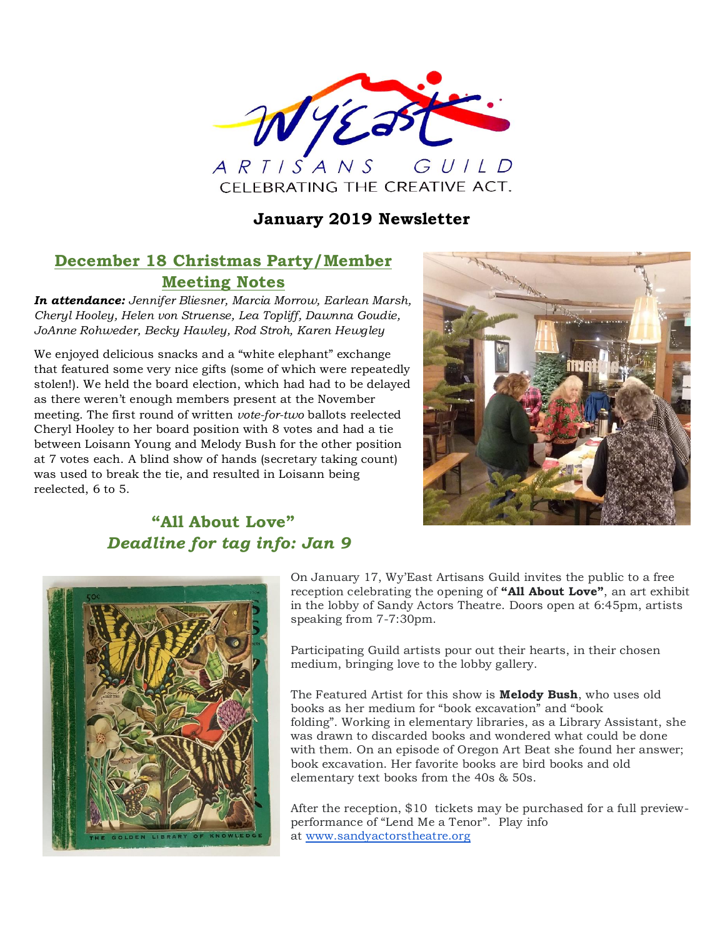

## **January 2019 Newsletter**

# **December 18 Christmas Party/Member Meeting Notes**

*In attendance: Jennifer Bliesner, Marcia Morrow, Earlean Marsh, Cheryl Hooley, Helen von Struense, Lea Topliff, Dawnna Goudie, JoAnne Rohweder, Becky Hawley, Rod Stroh, Karen Hewgley*

We enjoyed delicious snacks and a "white elephant" exchange that featured some very nice gifts (some of which were repeatedly stolen!). We held the board election, which had had to be delayed as there weren't enough members present at the November meeting. The first round of written *vote-for-two* ballots reelected Cheryl Hooley to her board position with 8 votes and had a tie between Loisann Young and Melody Bush for the other position at 7 votes each. A blind show of hands (secretary taking count) was used to break the tie, and resulted in Loisann being reelected, 6 to 5.



# **"All About Love"** *Deadline for tag info: Jan 9*



On January 17, Wy'East Artisans Guild invites the public to a free reception celebrating the opening of **"All About Love"**, an art exhibit in the lobby of Sandy Actors Theatre. Doors open at 6:45pm, artists speaking from 7-7:30pm.

Participating Guild artists pour out their hearts, in their chosen medium, bringing love to the lobby gallery.

The Featured Artist for this show is **Melody Bush**, who uses old books as her medium for "book excavation" and "book folding". Working in elementary libraries, as a Library Assistant, she was drawn to discarded books and wondered what could be done with them. On an episode of Oregon Art Beat she found her answer; book excavation. Her favorite books are bird books and old elementary text books from the 40s & 50s.

After the reception, \$10 tickets may be purchased for a full previewperformance of "Lend Me a Tenor". Play info at [www.sandyactorstheatre.org](http://www.sandyactorstheatre.org/)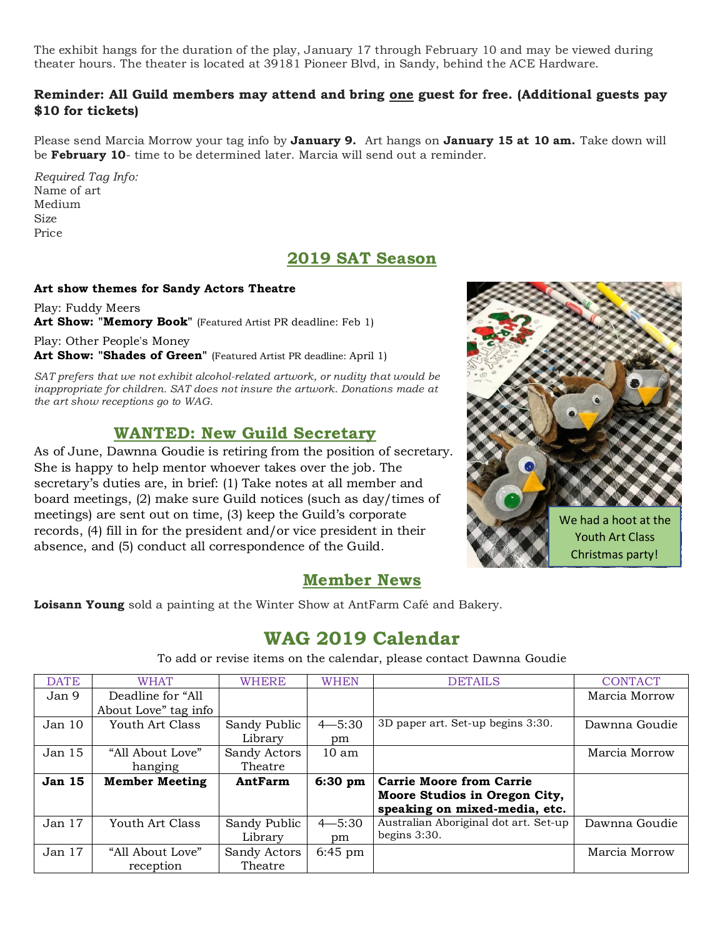The exhibit hangs for the duration of the play, January 17 through February 10 and may be viewed during theater hours. The theater is located at 39181 Pioneer Blvd, in Sandy, behind the ACE Hardware.

#### **Reminder: All Guild members may attend and bring one guest for free. (Additional guests pay \$10 for tickets)**

Please send Marcia Morrow your tag info by **January 9.** Art hangs on **January 15 at 10 am.** Take down will be **February 10**- time to be determined later. Marcia will send out a reminder.

*Required Tag Info:* Name of art Medium Size Price

## **2019 SAT Season**

#### **Art show themes for Sandy Actors Theatre**

Play: Fuddy Meers Art Show: "Memory Book" (Featured Artist PR deadline: Feb 1)

Play: Other People's Money **Art Show: "Shades of Green"** (Featured Artist PR deadline: April 1)

*SAT prefers that we not exhibit alcohol-related artwork, or nudity that would be inappropriate for children. SAT does not insure the artwork. Donations made at the art show receptions go to WAG.*

## **WANTED: New Guild Secretary**

As of June, Dawnna Goudie is retiring from the position of secretary. She is happy to help mentor whoever takes over the job. The secretary's duties are, in brief: (1) Take notes at all member and board meetings, (2) make sure Guild notices (such as day/times of meetings) are sent out on time, (3) keep the Guild's corporate records, (4) fill in for the president and/or vice president in their absence, and (5) conduct all correspondence of the Guild.



### **Member News**

**Loisann Young** sold a painting at the Winter Show at AntFarm Café and Bakery.

# **WAG 2019 Calendar**

To add or revise items on the calendar, please contact Dawnna Goudie

| <b>DATE</b>       | <b>WHAT</b>           | <b>WHERE</b> | <b>WHEN</b>      | <b>DETAILS</b>                        | <b>CONTACT</b> |
|-------------------|-----------------------|--------------|------------------|---------------------------------------|----------------|
| Jan 9             | Deadline for "All     |              |                  |                                       | Marcia Morrow  |
|                   | About Love" tag info  |              |                  |                                       |                |
| Jan 10            | Youth Art Class       | Sandy Public | $4 - 5:30$       | 3D paper art. Set-up begins 3:30.     | Dawnna Goudie  |
|                   |                       | Library      | pm               |                                       |                |
| Jan 15            | "All About Love"      | Sandy Actors | 10 <sub>am</sub> |                                       | Marcia Morrow  |
|                   | hanging               | Theatre      |                  |                                       |                |
| <b>Jan 15</b>     | <b>Member Meeting</b> | AntFarm      | $6:30$ pm        | <b>Carrie Moore from Carrie</b>       |                |
|                   |                       |              |                  | Moore Studios in Oregon City,         |                |
|                   |                       |              |                  | speaking on mixed-media, etc.         |                |
| Jan <sub>17</sub> | Youth Art Class       | Sandy Public | $4 - 5:30$       | Australian Aboriginal dot art. Set-up | Dawnna Goudie  |
|                   |                       | Library      | pm               | begins $3:30$ .                       |                |
| Jan <sub>17</sub> | "All About Love"      | Sandy Actors | $6:45$ pm        |                                       | Marcia Morrow  |
|                   | reception             | Theatre      |                  |                                       |                |